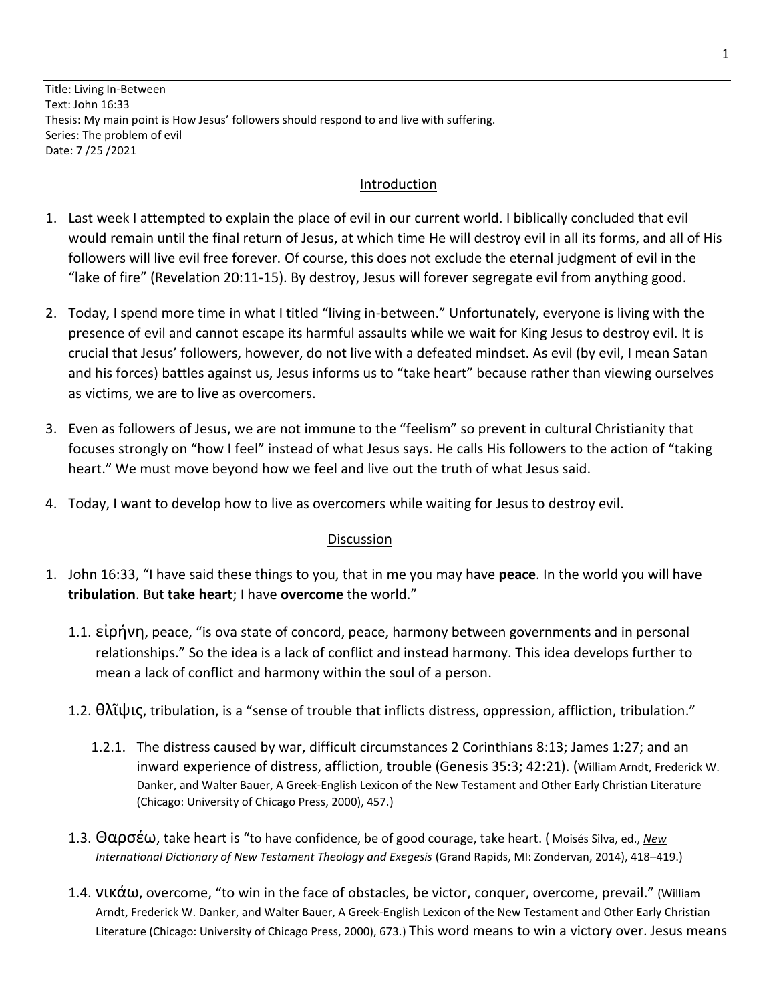Title: Living In-Between Text: John 16:33 Thesis: My main point is How Jesus' followers should respond to and live with suffering. Series: The problem of evil Date: 7 /25 /2021

## Introduction

- 1. Last week I attempted to explain the place of evil in our current world. I biblically concluded that evil would remain until the final return of Jesus, at which time He will destroy evil in all its forms, and all of His followers will live evil free forever. Of course, this does not exclude the eternal judgment of evil in the "lake of fire" (Revelation 20:11-15). By destroy, Jesus will forever segregate evil from anything good.
- 2. Today, I spend more time in what I titled "living in-between." Unfortunately, everyone is living with the presence of evil and cannot escape its harmful assaults while we wait for King Jesus to destroy evil. It is crucial that Jesus' followers, however, do not live with a defeated mindset. As evil (by evil, I mean Satan and his forces) battles against us, Jesus informs us to "take heart" because rather than viewing ourselves as victims, we are to live as overcomers.
- 3. Even as followers of Jesus, we are not immune to the "feelism" so prevent in cultural Christianity that focuses strongly on "how I feel" instead of what Jesus says. He calls His followers to the action of "taking heart." We must move beyond how we feel and live out the truth of what Jesus said.
- 4. Today, I want to develop how to live as overcomers while waiting for Jesus to destroy evil.

## Discussion

- 1. John 16:33, "I have said these things to you, that in me you may have **peace**. In the world you will have **tribulation**. But **take heart**; I have **overcome** the world."
	- 1.1. εἰρήνη, peace, "is ova state of concord, peace, harmony between governments and in personal relationships." So the idea is a lack of conflict and instead harmony. This idea develops further to mean a lack of conflict and harmony within the soul of a person.
	- 1.2. θλῖψις, tribulation, is a "sense of trouble that inflicts distress, oppression, affliction, tribulation."
		- 1.2.1. The distress caused by war, difficult circumstances 2 Corinthians 8:13; James 1:27; and an inward experience of distress, affliction, trouble (Genesis 35:3; 42:21). (William Arndt, Frederick W. Danker, and Walter Bauer, A Greek-English Lexicon of the New Testament and Other Early Christian Literature (Chicago: University of Chicago Press, 2000), 457.)
	- 1.3. Θαρσέω, take heart is "to have confidence, be of good courage, take heart. ( Moisés Silva, ed., *[New](https://ref.ly/logosres/nidnttrev?ref=DBLGreek.DBLG+1947&off=10294)  [International Dictionary of New Testament Theology and Exegesis](https://ref.ly/logosres/nidnttrev?ref=DBLGreek.DBLG+1947&off=10294)* (Grand Rapids, MI: Zondervan, 2014), 418–419.)
	- 1.4. νικάω, overcome, "to win in the face of obstacles, be victor, conquer, overcome, prevail." (William Arndt, Frederick W. Danker, and Walter Bauer, A Greek-English Lexicon of the New Testament and Other Early Christian Literature (Chicago: University of Chicago Press, 2000), 673.) This word means to win a victory over. Jesus means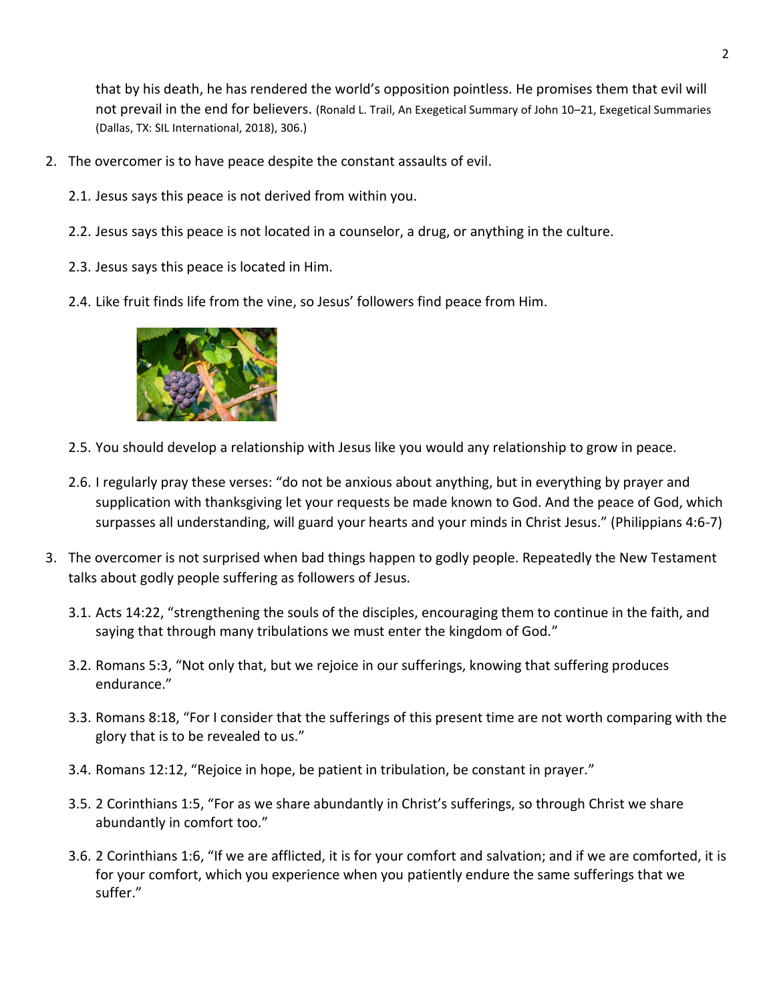that by his death, he has rendered the world's opposition pointless. He promises them that evil will not prevail in the end for believers. (Ronald L. Trail, An Exegetical Summary of John 10–21, Exegetical Summaries (Dallas, TX: SIL International, 2018), 306.)

- 2. The overcomer is to have peace despite the constant assaults of evil.
	- 2.1. Jesus says this peace is not derived from within you.
	- 2.2. Jesus says this peace is not located in a counselor, a drug, or anything in the culture.
	- 2.3. Jesus says this peace is located in Him.
	- 2.4. Like fruit finds life from the vine, so Jesus' followers find peace from Him.



- 2.5. You should develop a relationship with Jesus like you would any relationship to grow in peace.
- 2.6. I regularly pray these verses: "do not be anxious about anything, but in everything by prayer and supplication with thanksgiving let your requests be made known to God. And the peace of God, which surpasses all understanding, will guard your hearts and your minds in Christ Jesus." (Philippians 4:6-7)
- 3. The overcomer is not surprised when bad things happen to godly people. Repeatedly the New Testament talks about godly people suffering as followers of Jesus.
	- 3.1. Acts 14:22, "strengthening the souls of the disciples, encouraging them to continue in the faith, and saying that through many tribulations we must enter the kingdom of God."
	- 3.2. Romans 5:3, "Not only that, but we rejoice in our sufferings, knowing that suffering produces endurance."
	- 3.3. Romans 8:18, "For I consider that the sufferings of this present time are not worth comparing with the glory that is to be revealed to us."
	- 3.4. Romans 12:12, "Rejoice in hope, be patient in tribulation, be constant in prayer."
	- 3.5. 2 Corinthians 1:5, "For as we share abundantly in Christ's sufferings, so through Christ we share abundantly in comfort too."
	- 3.6. 2 Corinthians 1:6, "If we are afflicted, it is for your comfort and salvation; and if we are comforted, it is for your comfort, which you experience when you patiently endure the same sufferings that we suffer."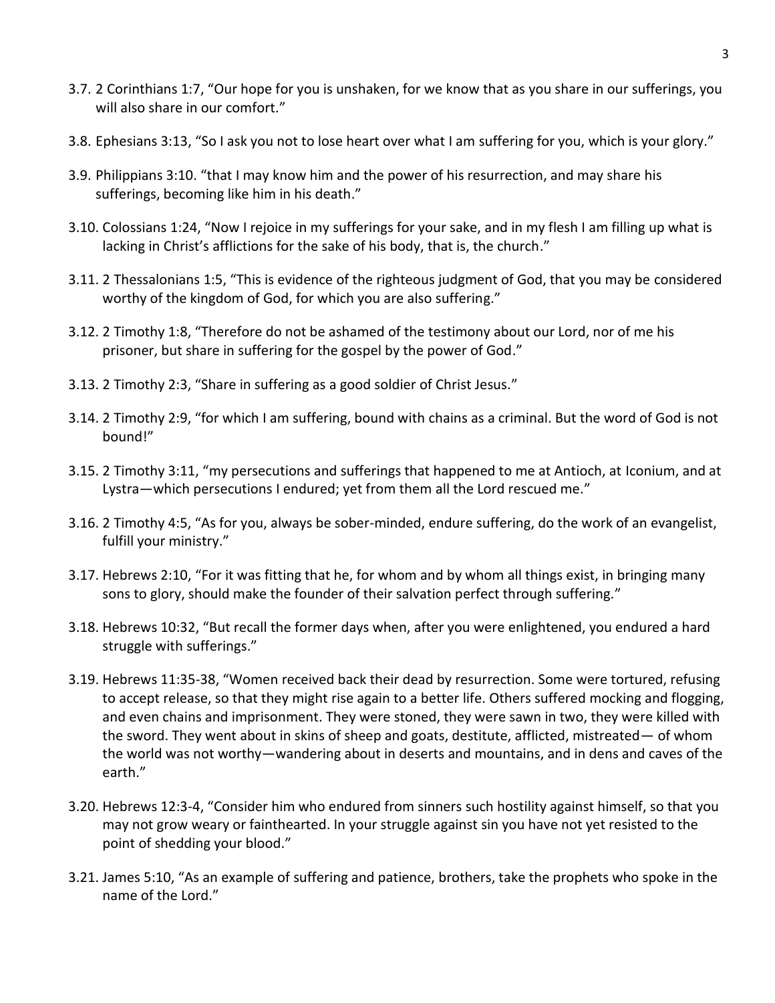- 3.7. 2 Corinthians 1:7, "Our hope for you is unshaken, for we know that as you share in our sufferings, you will also share in our comfort."
- 3.8. Ephesians 3:13, "So I ask you not to lose heart over what I am suffering for you, which is your glory."
- 3.9. Philippians 3:10. "that I may know him and the power of his resurrection, and may share his sufferings, becoming like him in his death."
- 3.10. Colossians 1:24, "Now I rejoice in my sufferings for your sake, and in my flesh I am filling up what is lacking in Christ's afflictions for the sake of his body, that is, the church."
- 3.11. 2 Thessalonians 1:5, "This is evidence of the righteous judgment of God, that you may be considered worthy of the kingdom of God, for which you are also suffering."
- 3.12. 2 Timothy 1:8, "Therefore do not be ashamed of the testimony about our Lord, nor of me his prisoner, but share in suffering for the gospel by the power of God."
- 3.13. 2 Timothy 2:3, "Share in suffering as a good soldier of Christ Jesus."
- 3.14. 2 Timothy 2:9, "for which I am suffering, bound with chains as a criminal. But the word of God is not bound!"
- 3.15. 2 Timothy 3:11, "my persecutions and sufferings that happened to me at Antioch, at Iconium, and at Lystra—which persecutions I endured; yet from them all the Lord rescued me."
- 3.16. 2 Timothy 4:5, "As for you, always be sober-minded, endure suffering, do the work of an evangelist, fulfill your ministry."
- 3.17. Hebrews 2:10, "For it was fitting that he, for whom and by whom all things exist, in bringing many sons to glory, should make the founder of their salvation perfect through suffering."
- 3.18. Hebrews 10:32, "But recall the former days when, after you were enlightened, you endured a hard struggle with sufferings."
- 3.19. Hebrews 11:35-38, "Women received back their dead by resurrection. Some were tortured, refusing to accept release, so that they might rise again to a better life. Others suffered mocking and flogging, and even chains and imprisonment. They were stoned, they were sawn in two, they were killed with the sword. They went about in skins of sheep and goats, destitute, afflicted, mistreated— of whom the world was not worthy—wandering about in deserts and mountains, and in dens and caves of the earth."
- 3.20. Hebrews 12:3-4, "Consider him who endured from sinners such hostility against himself, so that you may not grow weary or fainthearted. In your struggle against sin you have not yet resisted to the point of shedding your blood."
- 3.21. James 5:10, "As an example of suffering and patience, brothers, take the prophets who spoke in the name of the Lord."